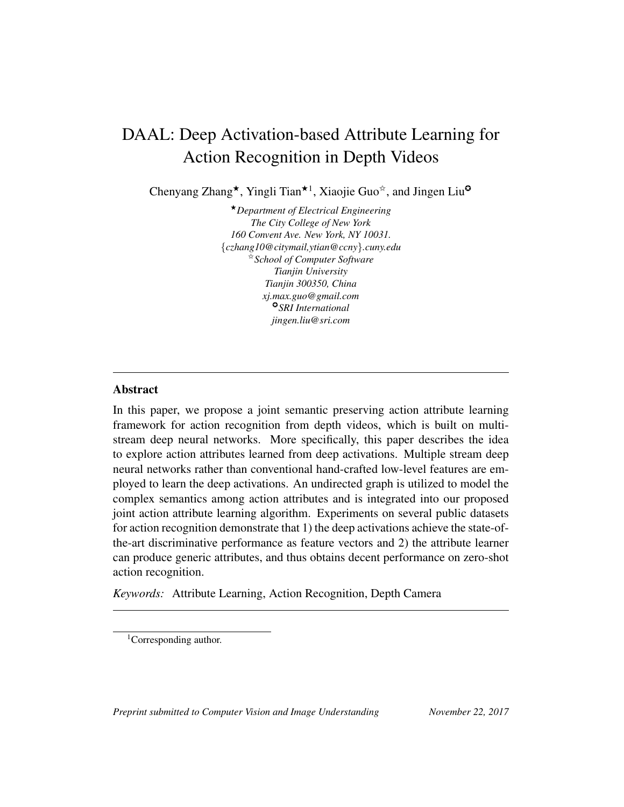# DAAL: Deep Activation-based Attribute Learning for Action Recognition in Depth Videos

Chenyang Zhang<sup>★</sup>, Yingli Tian<sup>★1</sup>, Xiaojie Guo<sup>☆</sup>, and Jingen Liu<sup>o</sup>

★*Department of Electrical Engineering The City College of New York 160 Convent Ave. New York, NY 10031.* {*czhang10@citymail,ytian@ccny*}*.cuny.edu* ✩*School of Computer Software Tianjin University Tianjin 300350, China xj.max.guo@gmail.com* ✪*SRI International jingen.liu@sri.com*

# Abstract

In this paper, we propose a joint semantic preserving action attribute learning framework for action recognition from depth videos, which is built on multistream deep neural networks. More specifically, this paper describes the idea to explore action attributes learned from deep activations. Multiple stream deep neural networks rather than conventional hand-crafted low-level features are employed to learn the deep activations. An undirected graph is utilized to model the complex semantics among action attributes and is integrated into our proposed joint action attribute learning algorithm. Experiments on several public datasets for action recognition demonstrate that 1) the deep activations achieve the state-ofthe-art discriminative performance as feature vectors and 2) the attribute learner can produce generic attributes, and thus obtains decent performance on zero-shot action recognition.

*Keywords:* Attribute Learning, Action Recognition, Depth Camera

*Preprint submitted to Computer Vision and Image Understanding November 22, 2017*

<sup>&</sup>lt;sup>1</sup>Corresponding author.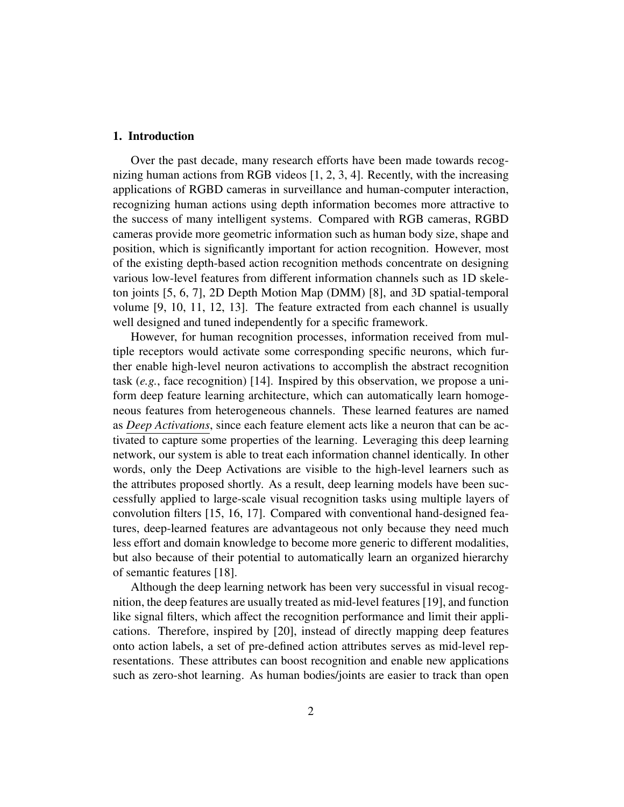### 1. Introduction

Over the past decade, many research efforts have been made towards recognizing human actions from RGB videos [1, 2, 3, 4]. Recently, with the increasing applications of RGBD cameras in surveillance and human-computer interaction, recognizing human actions using depth information becomes more attractive to the success of many intelligent systems. Compared with RGB cameras, RGBD cameras provide more geometric information such as human body size, shape and position, which is significantly important for action recognition. However, most of the existing depth-based action recognition methods concentrate on designing various low-level features from different information channels such as 1D skeleton joints [5, 6, 7], 2D Depth Motion Map (DMM) [8], and 3D spatial-temporal volume [9, 10, 11, 12, 13]. The feature extracted from each channel is usually well designed and tuned independently for a specific framework.

However, for human recognition processes, information received from multiple receptors would activate some corresponding specific neurons, which further enable high-level neuron activations to accomplish the abstract recognition task (*e.g.*, face recognition) [14]. Inspired by this observation, we propose a uniform deep feature learning architecture, which can automatically learn homogeneous features from heterogeneous channels. These learned features are named as *Deep Activations*, since each feature element acts like a neuron that can be activated to capture some properties of the learning. Leveraging this deep learning network, our system is able to treat each information channel identically. In other words, only the Deep Activations are visible to the high-level learners such as the attributes proposed shortly. As a result, deep learning models have been successfully applied to large-scale visual recognition tasks using multiple layers of convolution filters [15, 16, 17]. Compared with conventional hand-designed features, deep-learned features are advantageous not only because they need much less effort and domain knowledge to become more generic to different modalities, but also because of their potential to automatically learn an organized hierarchy of semantic features [18].

Although the deep learning network has been very successful in visual recognition, the deep features are usually treated as mid-level features [19], and function like signal filters, which affect the recognition performance and limit their applications. Therefore, inspired by [20], instead of directly mapping deep features onto action labels, a set of pre-defined action attributes serves as mid-level representations. These attributes can boost recognition and enable new applications such as zero-shot learning. As human bodies/joints are easier to track than open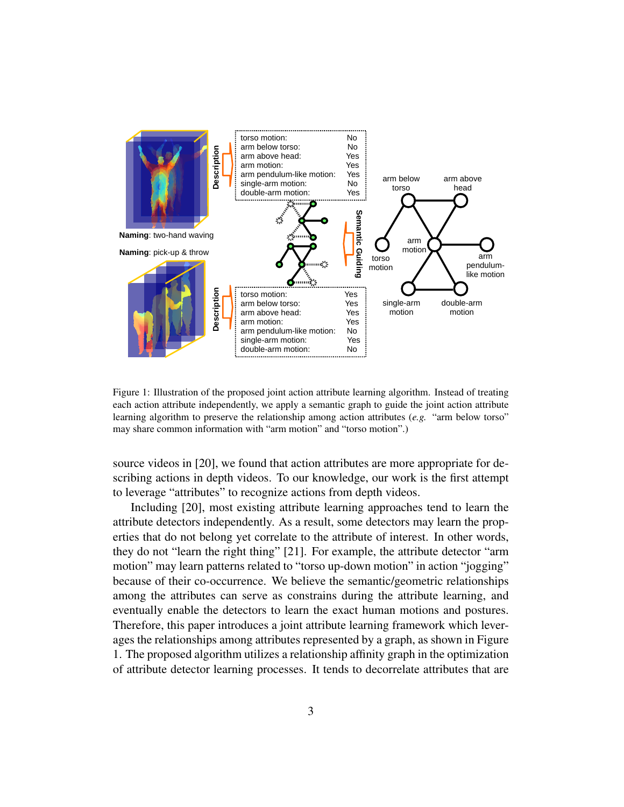

Figure 1: Illustration of the proposed joint action attribute learning algorithm. Instead of treating each action attribute independently, we apply a semantic graph to guide the joint action attribute learning algorithm to preserve the relationship among action attributes (*e.g.* "arm below torso" may share common information with "arm motion" and "torso motion".)

source videos in [20], we found that action attributes are more appropriate for describing actions in depth videos. To our knowledge, our work is the first attempt to leverage "attributes" to recognize actions from depth videos.

Including [20], most existing attribute learning approaches tend to learn the attribute detectors independently. As a result, some detectors may learn the properties that do not belong yet correlate to the attribute of interest. In other words, they do not "learn the right thing" [21]. For example, the attribute detector "arm motion" may learn patterns related to "torso up-down motion" in action "jogging" because of their co-occurrence. We believe the semantic/geometric relationships among the attributes can serve as constrains during the attribute learning, and eventually enable the detectors to learn the exact human motions and postures. Therefore, this paper introduces a joint attribute learning framework which leverages the relationships among attributes represented by a graph, as shown in Figure 1. The proposed algorithm utilizes a relationship affinity graph in the optimization of attribute detector learning processes. It tends to decorrelate attributes that are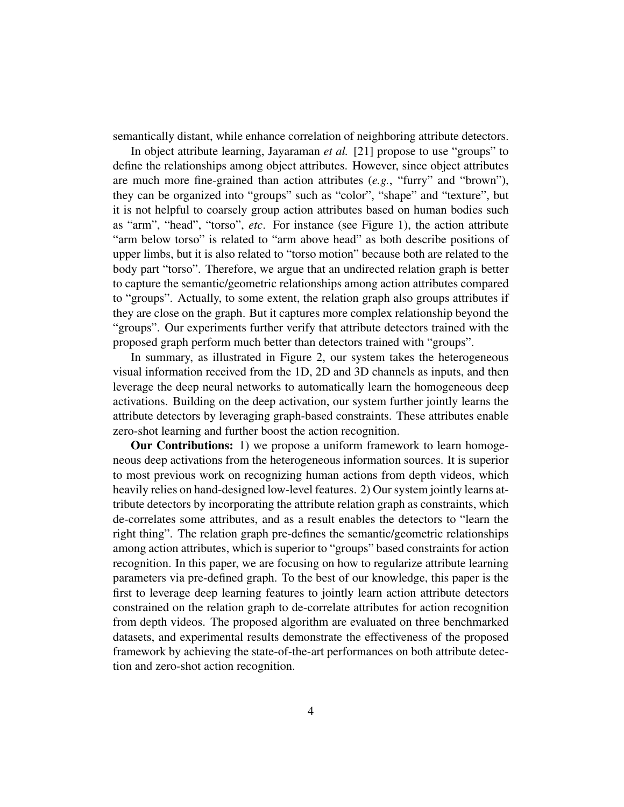semantically distant, while enhance correlation of neighboring attribute detectors.

In object attribute learning, Jayaraman *et al.* [21] propose to use "groups" to define the relationships among object attributes. However, since object attributes are much more fine-grained than action attributes (*e.g.*, "furry" and "brown"), they can be organized into "groups" such as "color", "shape" and "texture", but it is not helpful to coarsely group action attributes based on human bodies such as "arm", "head", "torso", *etc*. For instance (see Figure 1), the action attribute "arm below torso" is related to "arm above head" as both describe positions of upper limbs, but it is also related to "torso motion" because both are related to the body part "torso". Therefore, we argue that an undirected relation graph is better to capture the semantic/geometric relationships among action attributes compared to "groups". Actually, to some extent, the relation graph also groups attributes if they are close on the graph. But it captures more complex relationship beyond the "groups". Our experiments further verify that attribute detectors trained with the proposed graph perform much better than detectors trained with "groups".

In summary, as illustrated in Figure 2, our system takes the heterogeneous visual information received from the 1D, 2D and 3D channels as inputs, and then leverage the deep neural networks to automatically learn the homogeneous deep activations. Building on the deep activation, our system further jointly learns the attribute detectors by leveraging graph-based constraints. These attributes enable zero-shot learning and further boost the action recognition.

**Our Contributions:** 1) we propose a uniform framework to learn homogeneous deep activations from the heterogeneous information sources. It is superior to most previous work on recognizing human actions from depth videos, which heavily relies on hand-designed low-level features. 2) Our system jointly learns attribute detectors by incorporating the attribute relation graph as constraints, which de-correlates some attributes, and as a result enables the detectors to "learn the right thing". The relation graph pre-defines the semantic/geometric relationships among action attributes, which is superior to "groups" based constraints for action recognition. In this paper, we are focusing on how to regularize attribute learning parameters via pre-defined graph. To the best of our knowledge, this paper is the first to leverage deep learning features to jointly learn action attribute detectors constrained on the relation graph to de-correlate attributes for action recognition from depth videos. The proposed algorithm are evaluated on three benchmarked datasets, and experimental results demonstrate the effectiveness of the proposed framework by achieving the state-of-the-art performances on both attribute detection and zero-shot action recognition.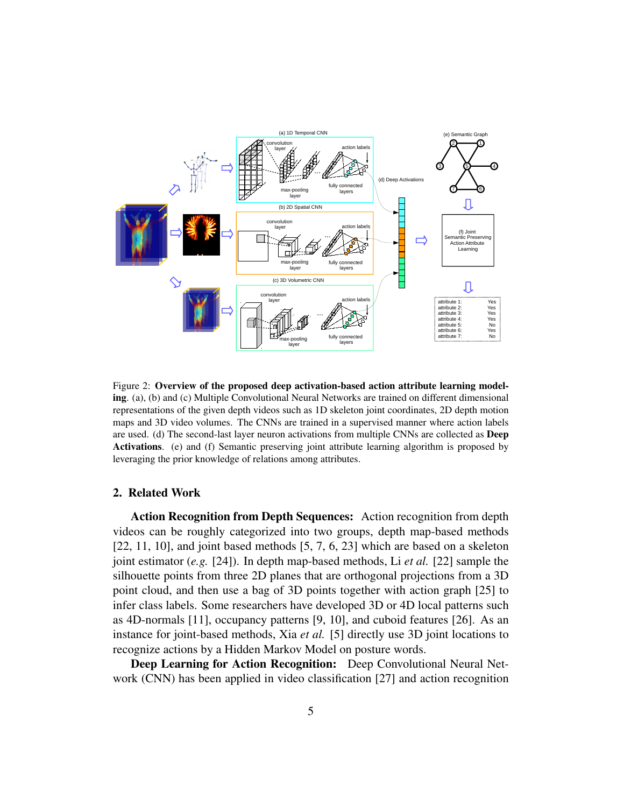

Figure 2: Overview of the proposed deep activation-based action attribute learning modeling. (a), (b) and (c) Multiple Convolutional Neural Networks are trained on different dimensional representations of the given depth videos such as 1D skeleton joint coordinates, 2D depth motion maps and 3D video volumes. The CNNs are trained in a supervised manner where action labels are used. (d) The second-last layer neuron activations from multiple CNNs are collected as Deep Activations. (e) and (f) Semantic preserving joint attribute learning algorithm is proposed by leveraging the prior knowledge of relations among attributes.

# 2. Related Work

Action Recognition from Depth Sequences: Action recognition from depth videos can be roughly categorized into two groups, depth map-based methods [22, 11, 10], and joint based methods [5, 7, 6, 23] which are based on a skeleton joint estimator (*e.g.* [24]). In depth map-based methods, Li *et al.* [22] sample the silhouette points from three 2D planes that are orthogonal projections from a 3D point cloud, and then use a bag of 3D points together with action graph [25] to infer class labels. Some researchers have developed 3D or 4D local patterns such as 4D-normals [11], occupancy patterns [9, 10], and cuboid features [26]. As an instance for joint-based methods, Xia *et al.* [5] directly use 3D joint locations to recognize actions by a Hidden Markov Model on posture words.

Deep Learning for Action Recognition: Deep Convolutional Neural Network (CNN) has been applied in video classification [27] and action recognition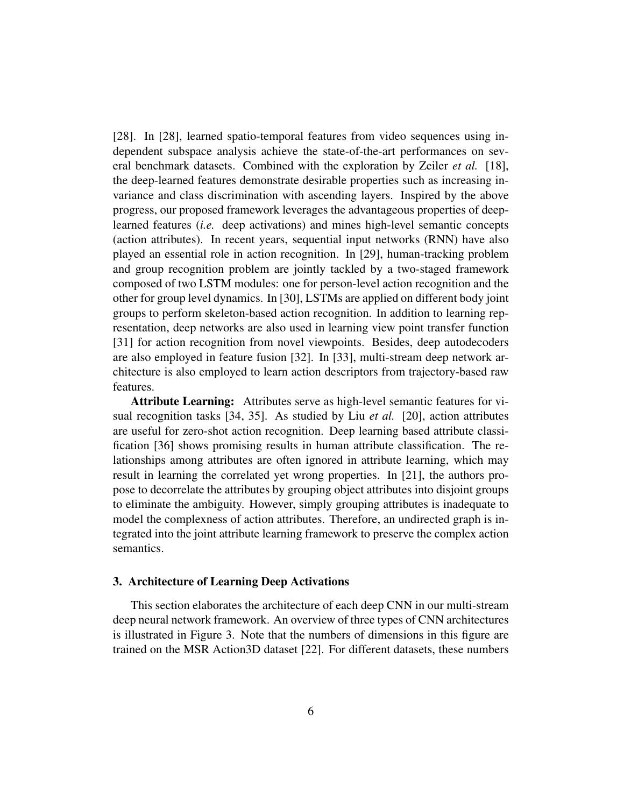[28]. In [28], learned spatio-temporal features from video sequences using independent subspace analysis achieve the state-of-the-art performances on several benchmark datasets. Combined with the exploration by Zeiler *et al.* [18], the deep-learned features demonstrate desirable properties such as increasing invariance and class discrimination with ascending layers. Inspired by the above progress, our proposed framework leverages the advantageous properties of deeplearned features (*i.e.* deep activations) and mines high-level semantic concepts (action attributes). In recent years, sequential input networks (RNN) have also played an essential role in action recognition. In [29], human-tracking problem and group recognition problem are jointly tackled by a two-staged framework composed of two LSTM modules: one for person-level action recognition and the other for group level dynamics. In [30], LSTMs are applied on different body joint groups to perform skeleton-based action recognition. In addition to learning representation, deep networks are also used in learning view point transfer function [31] for action recognition from novel viewpoints. Besides, deep autodecoders are also employed in feature fusion [32]. In [33], multi-stream deep network architecture is also employed to learn action descriptors from trajectory-based raw features.

Attribute Learning: Attributes serve as high-level semantic features for visual recognition tasks [34, 35]. As studied by Liu *et al.* [20], action attributes are useful for zero-shot action recognition. Deep learning based attribute classification [36] shows promising results in human attribute classification. The relationships among attributes are often ignored in attribute learning, which may result in learning the correlated yet wrong properties. In [21], the authors propose to decorrelate the attributes by grouping object attributes into disjoint groups to eliminate the ambiguity. However, simply grouping attributes is inadequate to model the complexness of action attributes. Therefore, an undirected graph is integrated into the joint attribute learning framework to preserve the complex action semantics.

### 3. Architecture of Learning Deep Activations

This section elaborates the architecture of each deep CNN in our multi-stream deep neural network framework. An overview of three types of CNN architectures is illustrated in Figure 3. Note that the numbers of dimensions in this figure are trained on the MSR Action3D dataset [22]. For different datasets, these numbers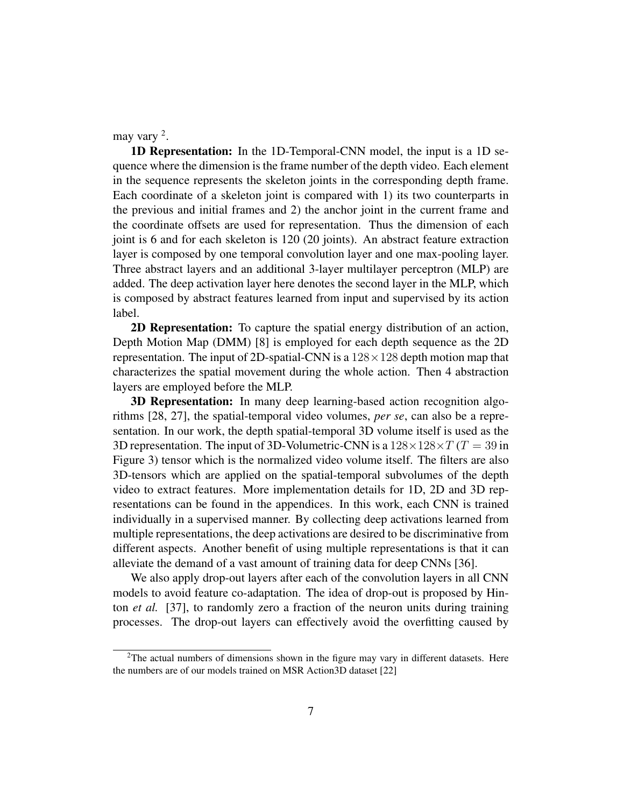may vary <sup>2</sup>.

1D Representation: In the 1D-Temporal-CNN model, the input is a 1D sequence where the dimension is the frame number of the depth video. Each element in the sequence represents the skeleton joints in the corresponding depth frame. Each coordinate of a skeleton joint is compared with 1) its two counterparts in the previous and initial frames and 2) the anchor joint in the current frame and the coordinate offsets are used for representation. Thus the dimension of each joint is 6 and for each skeleton is 120 (20 joints). An abstract feature extraction layer is composed by one temporal convolution layer and one max-pooling layer. Three abstract layers and an additional 3-layer multilayer perceptron (MLP) are added. The deep activation layer here denotes the second layer in the MLP, which is composed by abstract features learned from input and supervised by its action label.

2D Representation: To capture the spatial energy distribution of an action, Depth Motion Map (DMM) [8] is employed for each depth sequence as the 2D representation. The input of 2D-spatial-CNN is a  $128 \times 128$  depth motion map that characterizes the spatial movement during the whole action. Then 4 abstraction layers are employed before the MLP.

3D Representation: In many deep learning-based action recognition algorithms [28, 27], the spatial-temporal video volumes, *per se*, can also be a representation. In our work, the depth spatial-temporal 3D volume itself is used as the 3D representation. The input of 3D-Volumetric-CNN is a  $128\times128\times T$  (T = 39 in Figure 3) tensor which is the normalized video volume itself. The filters are also 3D-tensors which are applied on the spatial-temporal subvolumes of the depth video to extract features. More implementation details for 1D, 2D and 3D representations can be found in the appendices. In this work, each CNN is trained individually in a supervised manner. By collecting deep activations learned from multiple representations, the deep activations are desired to be discriminative from different aspects. Another benefit of using multiple representations is that it can alleviate the demand of a vast amount of training data for deep CNNs [36].

We also apply drop-out layers after each of the convolution layers in all CNN models to avoid feature co-adaptation. The idea of drop-out is proposed by Hinton *et al.* [37], to randomly zero a fraction of the neuron units during training processes. The drop-out layers can effectively avoid the overfitting caused by

 $2$ The actual numbers of dimensions shown in the figure may vary in different datasets. Here the numbers are of our models trained on MSR Action3D dataset [22]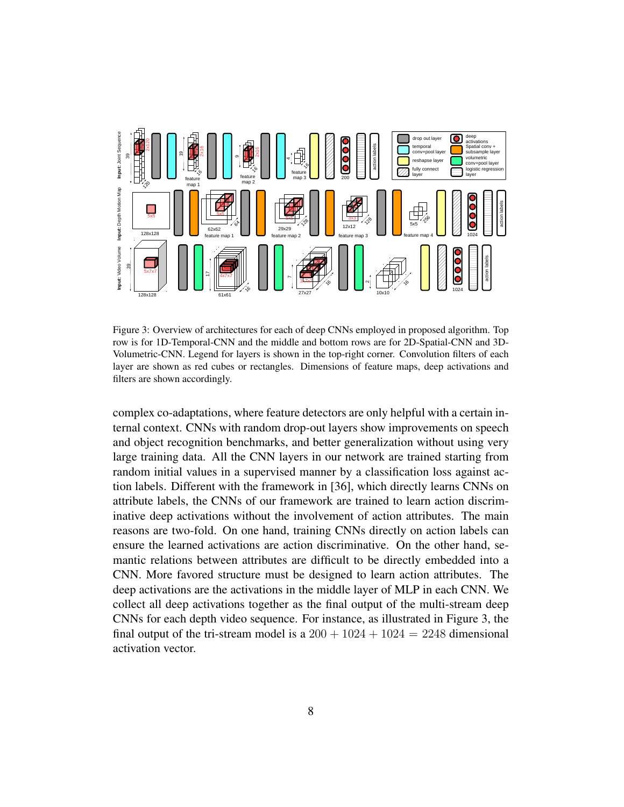

Figure 3: Overview of architectures for each of deep CNNs employed in proposed algorithm. Top row is for 1D-Temporal-CNN and the middle and bottom rows are for 2D-Spatial-CNN and 3D-Volumetric-CNN. Legend for layers is shown in the top-right corner. Convolution filters of each layer are shown as red cubes or rectangles. Dimensions of feature maps, deep activations and filters are shown accordingly.

complex co-adaptations, where feature detectors are only helpful with a certain internal context. CNNs with random drop-out layers show improvements on speech and object recognition benchmarks, and better generalization without using very large training data. All the CNN layers in our network are trained starting from random initial values in a supervised manner by a classification loss against action labels. Different with the framework in [36], which directly learns CNNs on attribute labels, the CNNs of our framework are trained to learn action discriminative deep activations without the involvement of action attributes. The main reasons are two-fold. On one hand, training CNNs directly on action labels can ensure the learned activations are action discriminative. On the other hand, semantic relations between attributes are difficult to be directly embedded into a CNN. More favored structure must be designed to learn action attributes. The deep activations are the activations in the middle layer of MLP in each CNN. We collect all deep activations together as the final output of the multi-stream deep CNNs for each depth video sequence. For instance, as illustrated in Figure 3, the final output of the tri-stream model is a  $200 + 1024 + 1024 = 2248$  dimensional activation vector.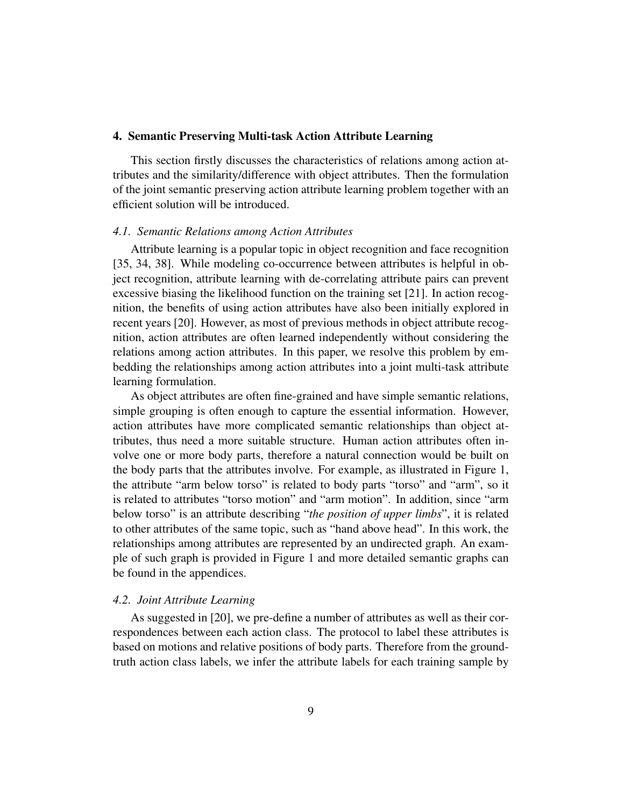#### 4. Semantic Preserving Multi-task Action Attribute Learning

This section firstly discusses the characteristics of relations among action attributes and the similarity/difference with object attributes. Then the formulation of the joint semantic preserving action attribute learning problem together with an efficient solution will be introduced.

#### *4.1. Semantic Relations among Action Attributes*

Attribute learning is a popular topic in object recognition and face recognition [35, 34, 38]. While modeling co-occurrence between attributes is helpful in object recognition, attribute learning with de-correlating attribute pairs can prevent excessive biasing the likelihood function on the training set [21]. In action recognition, the benefits of using action attributes have also been initially explored in recent years [20]. However, as most of previous methods in object attribute recognition, action attributes are often learned independently without considering the relations among action attributes. In this paper, we resolve this problem by embedding the relationships among action attributes into a joint multi-task attribute learning formulation.

As object attributes are often fine-grained and have simple semantic relations, simple grouping is often enough to capture the essential information. However, action attributes have more complicated semantic relationships than object attributes, thus need a more suitable structure. Human action attributes often involve one or more body parts, therefore a natural connection would be built on the body parts that the attributes involve. For example, as illustrated in Figure 1, the attribute "arm below torso" is related to body parts "torso" and "arm", so it is related to attributes "torso motion" and "arm motion". In addition, since "arm below torso" is an attribute describing "*the position of upper limbs*", it is related to other attributes of the same topic, such as "hand above head". In this work, the relationships among attributes are represented by an undirected graph. An example of such graph is provided in Figure 1 and more detailed semantic graphs can be found in the appendices.

#### *4.2. Joint Attribute Learning*

As suggested in [20], we pre-define a number of attributes as well as their correspondences between each action class. The protocol to label these attributes is based on motions and relative positions of body parts. Therefore from the groundtruth action class labels, we infer the attribute labels for each training sample by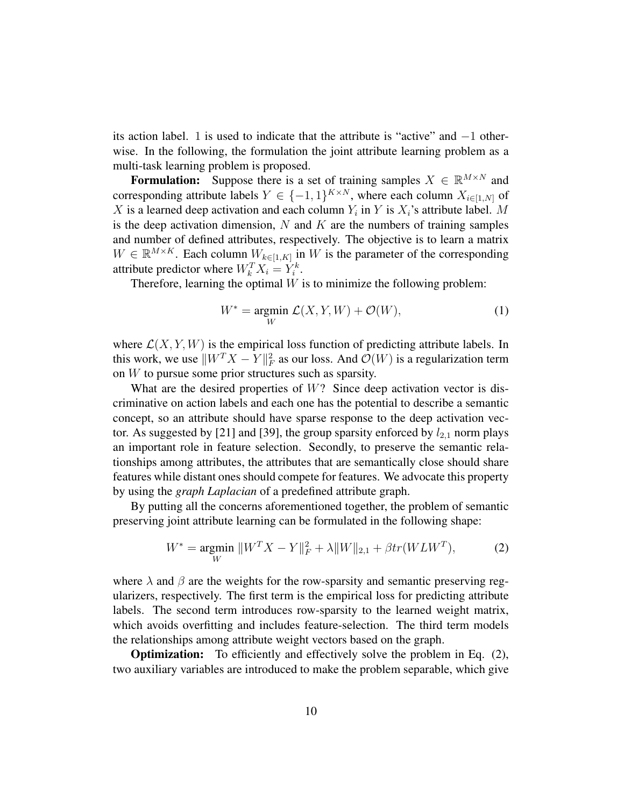its action label. 1 is used to indicate that the attribute is "active" and −1 otherwise. In the following, the formulation the joint attribute learning problem as a multi-task learning problem is proposed.

**Formulation:** Suppose there is a set of training samples  $X \in \mathbb{R}^{M \times N}$  and corresponding attribute labels  $Y \in \{-1, 1\}^{K \times N}$ , where each column  $X_{i \in [1, N]}$  of X is a learned deep activation and each column  $Y_i$  in Y is  $X_i$ 's attribute label. M is the deep activation dimension,  $N$  and  $K$  are the numbers of training samples and number of defined attributes, respectively. The objective is to learn a matrix  $W \in \mathbb{R}^{M \times K}$ . Each column  $W_{k \in [1, K]}$  in W is the parameter of the corresponding attribute predictor where  $W_k^T X_i = Y_i^k$ .

Therefore, learning the optimal  $W$  is to minimize the following problem:

$$
W^* = \underset{W}{\text{argmin}} \ \mathcal{L}(X, Y, W) + \mathcal{O}(W), \tag{1}
$$

where  $\mathcal{L}(X, Y, W)$  is the empirical loss function of predicting attribute labels. In this work, we use  $||W^T X - Y||_F^2$  as our loss. And  $\mathcal{O}(W)$  is a regularization term on W to pursue some prior structures such as sparsity.

What are the desired properties of  $W$ ? Since deep activation vector is discriminative on action labels and each one has the potential to describe a semantic concept, so an attribute should have sparse response to the deep activation vector. As suggested by [21] and [39], the group sparsity enforced by  $l_{2,1}$  norm plays an important role in feature selection. Secondly, to preserve the semantic relationships among attributes, the attributes that are semantically close should share features while distant ones should compete for features. We advocate this property by using the *graph Laplacian* of a predefined attribute graph.

By putting all the concerns aforementioned together, the problem of semantic preserving joint attribute learning can be formulated in the following shape:

$$
W^* = \underset{W}{\text{argmin}} \ \|W^T X - Y\|_F^2 + \lambda \|W\|_{2,1} + \beta tr(W L W^T), \tag{2}
$$

where  $\lambda$  and  $\beta$  are the weights for the row-sparsity and semantic preserving regularizers, respectively. The first term is the empirical loss for predicting attribute labels. The second term introduces row-sparsity to the learned weight matrix, which avoids overfitting and includes feature-selection. The third term models the relationships among attribute weight vectors based on the graph.

**Optimization:** To efficiently and effectively solve the problem in Eq. (2), two auxiliary variables are introduced to make the problem separable, which give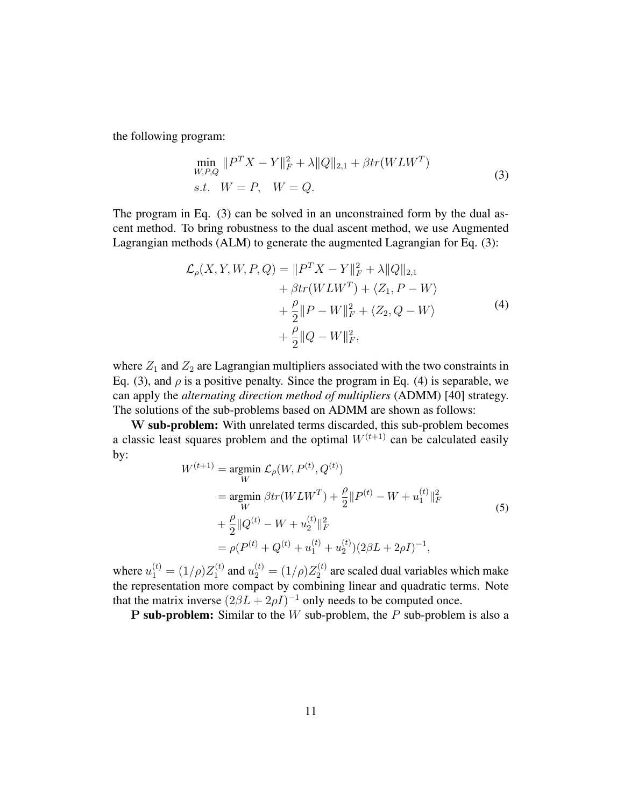the following program:

$$
\min_{W,P,Q} \|P^T X - Y\|_F^2 + \lambda \|Q\|_{2,1} + \beta tr(WLW^T)
$$
  
s.t.  $W = P$ ,  $W = Q$ . (3)

The program in Eq. (3) can be solved in an unconstrained form by the dual ascent method. To bring robustness to the dual ascent method, we use Augmented Lagrangian methods (ALM) to generate the augmented Lagrangian for Eq. (3):

$$
\mathcal{L}_{\rho}(X, Y, W, P, Q) = ||P^T X - Y||_F^2 + \lambda ||Q||_{2,1} \n+ \beta tr(W L W^T) + \langle Z_1, P - W \rangle \n+ \frac{\rho}{2} ||P - W||_F^2 + \langle Z_2, Q - W \rangle \n+ \frac{\rho}{2} ||Q - W||_F^2,
$$
\n(4)

where  $Z_1$  and  $Z_2$  are Lagrangian multipliers associated with the two constraints in Eq. (3), and  $\rho$  is a positive penalty. Since the program in Eq. (4) is separable, we can apply the *alternating direction method of multipliers* (ADMM) [40] strategy. The solutions of the sub-problems based on ADMM are shown as follows:

W sub-problem: With unrelated terms discarded, this sub-problem becomes a classic least squares problem and the optimal  $W^{(t+1)}$  can be calculated easily by:

$$
W^{(t+1)} = \underset{W}{\operatorname{argmin}} \ \mathcal{L}_{\rho}(W, P^{(t)}, Q^{(t)})
$$
  
\n
$$
= \underset{W}{\operatorname{argmin}} \ \beta tr(W L W^{T}) + \frac{\rho}{2} ||P^{(t)} - W + u_{1}^{(t)}||_{F}^{2}
$$
  
\n
$$
+ \frac{\rho}{2} ||Q^{(t)} - W + u_{2}^{(t)}||_{F}^{2}
$$
  
\n
$$
= \rho(P^{(t)} + Q^{(t)} + u_{1}^{(t)} + u_{2}^{(t)})(2\beta L + 2\rho I)^{-1},
$$
\n(5)

where  $u_1^{(t)} = (1/\rho)Z_1^{(t)}$  $u_1^{(t)}$  and  $u_2^{(t)} = (1/\rho)Z_2^{(t)}$  $2^{(t)}$  are scaled dual variables which make the representation more compact by combining linear and quadratic terms. Note that the matrix inverse  $(2\beta L + 2\rho I)^{-1}$  only needs to be computed once.

**P** sub-problem: Similar to the  $W$  sub-problem, the  $P$  sub-problem is also a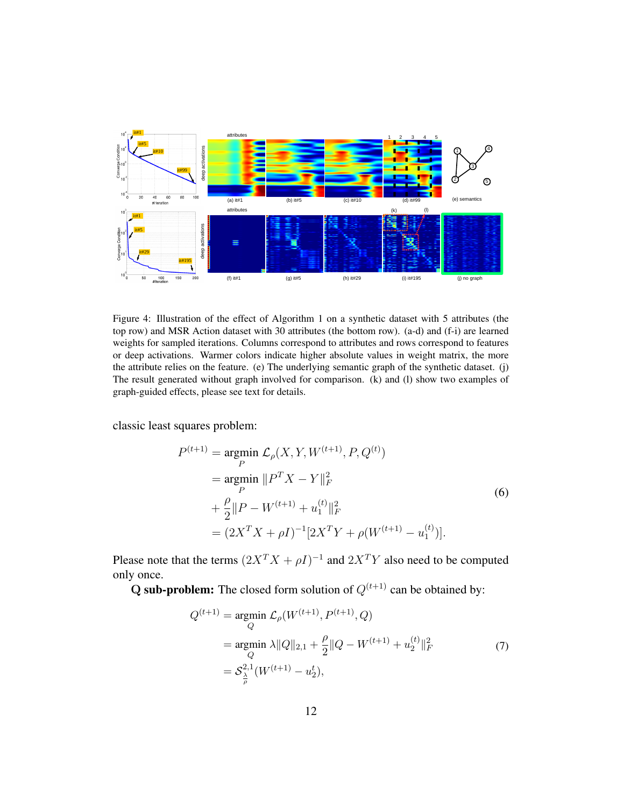

Figure 4: Illustration of the effect of Algorithm 1 on a synthetic dataset with 5 attributes (the top row) and MSR Action dataset with 30 attributes (the bottom row). (a-d) and (f-i) are learned weights for sampled iterations. Columns correspond to attributes and rows correspond to features or deep activations. Warmer colors indicate higher absolute values in weight matrix, the more the attribute relies on the feature. (e) The underlying semantic graph of the synthetic dataset. (j) The result generated without graph involved for comparison. (k) and (l) show two examples of graph-guided effects, please see text for details.

classic least squares problem:

$$
P^{(t+1)} = \underset{P}{\operatorname{argmin}} \mathcal{L}_{\rho}(X, Y, W^{(t+1)}, P, Q^{(t)})
$$
  
\n
$$
= \underset{P}{\operatorname{argmin}} \, \|P^T X - Y\|_F^2
$$
  
\n
$$
+ \frac{\rho}{2} \|P - W^{(t+1)} + u_1^{(t)}\|_F^2
$$
  
\n
$$
= (2X^T X + \rho I)^{-1} [2X^T Y + \rho(W^{(t+1)} - u_1^{(t)})].
$$
\n(6)

Please note that the terms  $(2X^TX + \rho I)^{-1}$  and  $2X^TY$  also need to be computed only once.

Q sub-problem: The closed form solution of  $Q^{(t+1)}$  can be obtained by:

$$
Q^{(t+1)} = \underset{Q}{\text{argmin}} \mathcal{L}_{\rho}(W^{(t+1)}, P^{(t+1)}, Q)
$$
  
= 
$$
\underset{Q}{\text{argmin}} \lambda \|Q\|_{2,1} + \frac{\rho}{2} \|Q - W^{(t+1)} + u_2^{(t)}\|_F^2
$$
  
= 
$$
\mathcal{S}_{\frac{\lambda}{\rho}}^{2,1}(W^{(t+1)} - u_2^t),
$$
 (7)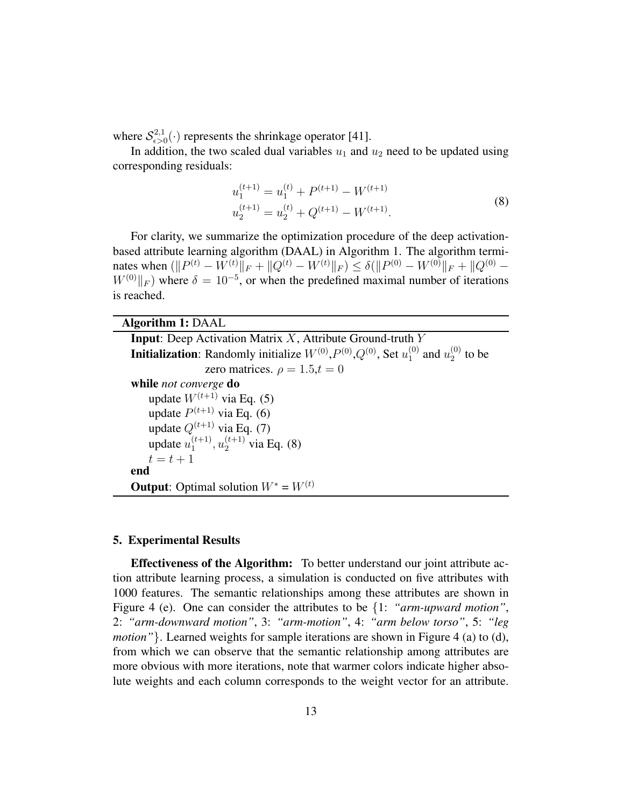where  $\mathcal{S}_{\epsilon > 0}^{2,1}$  $\epsilon >0}^{2,1}(\cdot)$  represents the shrinkage operator [41].

In addition, the two scaled dual variables  $u_1$  and  $u_2$  need to be updated using corresponding residuals:

$$
u_1^{(t+1)} = u_1^{(t)} + P^{(t+1)} - W^{(t+1)}
$$
  
\n
$$
u_2^{(t+1)} = u_2^{(t)} + Q^{(t+1)} - W^{(t+1)}.
$$
\n(8)

For clarity, we summarize the optimization procedure of the deep activationbased attribute learning algorithm (DAAL) in Algorithm 1. The algorithm terminates when  $(\|P^{(t)} - W^{(t)}\|_F + \|Q^{(t)} - W^{(t)}\|_F) \le \delta (\|P^{(0)} - W^{(0)}\|_F + \|Q^{(0)} - W^{(0)}\|_F)$  $W^{(0)}||_F$ ) where  $\delta = 10^{-5}$ , or when the predefined maximal number of iterations is reached.

# Algorithm 1: DAAL

**Input:** Deep Activation Matrix  $X$ , Attribute Ground-truth  $Y$ **Initialization**: Randomly initialize  $W^{(0)}, P^{(0)}, Q^{(0)},$  Set  $u_1^{(0)}$  $_1^{(0)}$  and  $u_2^{(0)}$  $2^{(0)}$  to be zero matrices.  $\rho = 1.5, t = 0$ while *not converge* do update  $W^{(t+1)}$  via Eq. (5) update  $P^{(t+1)}$  via Eq. (6) update  $Q^{(t+1)}$  via Eq. (7) update  $u_1^{(t+1)}$  $u_1^{(t+1)}, u_2^{(t+1)}$  via Eq. (8)  $t = t + 1$ end **Output:** Optimal solution  $W^* = W^{(t)}$ 

### 5. Experimental Results

Effectiveness of the Algorithm: To better understand our joint attribute action attribute learning process, a simulation is conducted on five attributes with 1000 features. The semantic relationships among these attributes are shown in Figure 4 (e). One can consider the attributes to be {1: *"arm-upward motion"*, 2: *"arm-downward motion"*, 3: *"arm-motion"*, 4: *"arm below torso"*, 5: *"leg motion*" }. Learned weights for sample iterations are shown in Figure 4 (a) to (d), from which we can observe that the semantic relationship among attributes are more obvious with more iterations, note that warmer colors indicate higher absolute weights and each column corresponds to the weight vector for an attribute.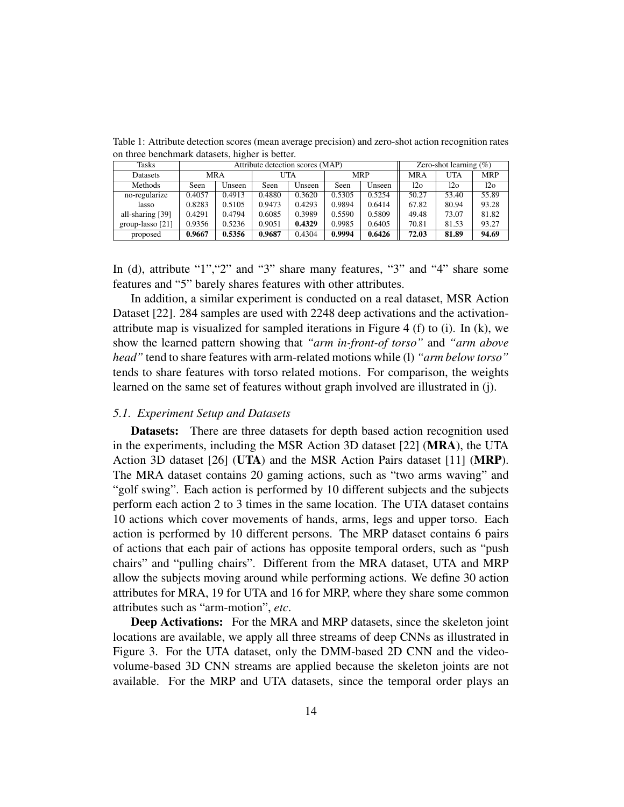| Tasks              | Attribute detection scores (MAP) |        |        |        |            | Zero-shot learning $(\%)$ |                 |            |                 |
|--------------------|----------------------------------|--------|--------|--------|------------|---------------------------|-----------------|------------|-----------------|
| Datasets           | <b>MRA</b>                       |        | UTA    |        | <b>MRP</b> |                           | <b>MRA</b>      | <b>UTA</b> | <b>MRP</b>      |
| Methods            | Seen                             | Unseen | Seen   | Unseen | Seen       | Unseen                    | 12 <sub>o</sub> | 120        | 12 <sub>o</sub> |
| no-regularize      | 0.4057                           | 0.4913 | 0.4880 | 0.3620 | 0.5305     | 0.5254                    | 50.27           | 53.40      | 55.89           |
| lasso              | 0.8283                           | 0.5105 | 0.9473 | 0.4293 | 0.9894     | 0.6414                    | 67.82           | 80.94      | 93.28           |
| all-sharing [39]   | 0.4291                           | 0.4794 | 0.6085 | 0.3989 | 0.5590     | 0.5809                    | 49.48           | 73.07      | 81.82           |
| group-lasso $[21]$ | 0.9356                           | 0.5236 | 0.9051 | 0.4329 | 0.9985     | 0.6405                    | 70.81           | 81.53      | 93.27           |
| proposed           | 0.9667                           | 0.5356 | 0.9687 | 0.4304 | 0.9994     | 0.6426                    | 72.03           | 81.89      | 94.69           |

Table 1: Attribute detection scores (mean average precision) and zero-shot action recognition rates on three benchmark datasets, higher is better.

In (d), attribute "1","2" and "3" share many features, "3" and "4" share some features and "5" barely shares features with other attributes.

In addition, a similar experiment is conducted on a real dataset, MSR Action Dataset [22]. 284 samples are used with 2248 deep activations and the activationattribute map is visualized for sampled iterations in Figure 4 (f) to (i). In (k), we show the learned pattern showing that *"arm in-front-of torso"* and *"arm above head"* tend to share features with arm-related motions while (l) *"arm below torso"* tends to share features with torso related motions. For comparison, the weights learned on the same set of features without graph involved are illustrated in (j).

#### *5.1. Experiment Setup and Datasets*

Datasets: There are three datasets for depth based action recognition used in the experiments, including the MSR Action 3D dataset [22] (MRA), the UTA Action 3D dataset [26] (UTA) and the MSR Action Pairs dataset [11] (MRP). The MRA dataset contains 20 gaming actions, such as "two arms waving" and "golf swing". Each action is performed by 10 different subjects and the subjects perform each action 2 to 3 times in the same location. The UTA dataset contains 10 actions which cover movements of hands, arms, legs and upper torso. Each action is performed by 10 different persons. The MRP dataset contains 6 pairs of actions that each pair of actions has opposite temporal orders, such as "push chairs" and "pulling chairs". Different from the MRA dataset, UTA and MRP allow the subjects moving around while performing actions. We define 30 action attributes for MRA, 19 for UTA and 16 for MRP, where they share some common attributes such as "arm-motion", *etc*.

Deep Activations: For the MRA and MRP datasets, since the skeleton joint locations are available, we apply all three streams of deep CNNs as illustrated in Figure 3. For the UTA dataset, only the DMM-based 2D CNN and the videovolume-based 3D CNN streams are applied because the skeleton joints are not available. For the MRP and UTA datasets, since the temporal order plays an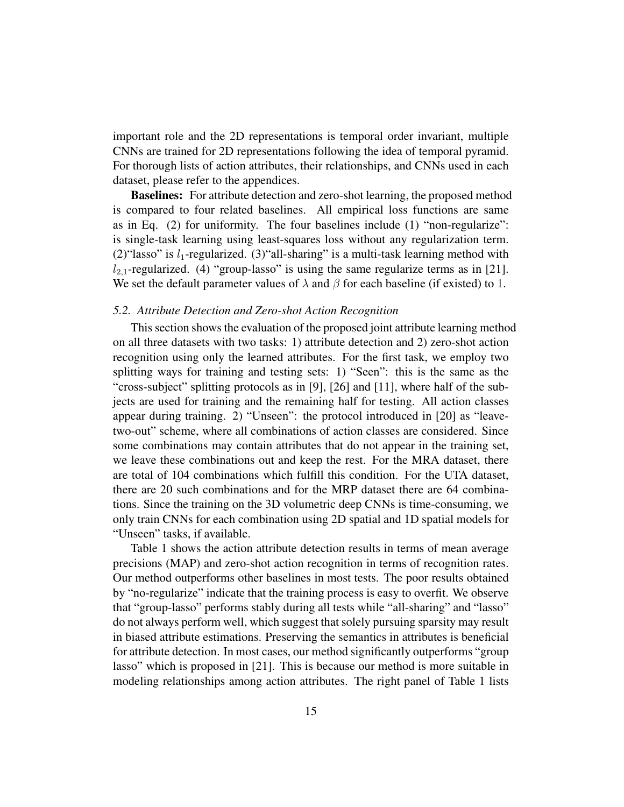important role and the 2D representations is temporal order invariant, multiple CNNs are trained for 2D representations following the idea of temporal pyramid. For thorough lists of action attributes, their relationships, and CNNs used in each dataset, please refer to the appendices.

Baselines: For attribute detection and zero-shot learning, the proposed method is compared to four related baselines. All empirical loss functions are same as in Eq. (2) for uniformity. The four baselines include (1) "non-regularize": is single-task learning using least-squares loss without any regularization term. (2)"lasso" is  $l_1$ -regularized. (3)"all-sharing" is a multi-task learning method with  $l_{2,1}$ -regularized. (4) "group-lasso" is using the same regularize terms as in [21]. We set the default parameter values of  $\lambda$  and  $\beta$  for each baseline (if existed) to 1.

# *5.2. Attribute Detection and Zero-shot Action Recognition*

This section shows the evaluation of the proposed joint attribute learning method on all three datasets with two tasks: 1) attribute detection and 2) zero-shot action recognition using only the learned attributes. For the first task, we employ two splitting ways for training and testing sets: 1) "Seen": this is the same as the "cross-subject" splitting protocols as in [9], [26] and [11], where half of the subjects are used for training and the remaining half for testing. All action classes appear during training. 2) "Unseen": the protocol introduced in [20] as "leavetwo-out" scheme, where all combinations of action classes are considered. Since some combinations may contain attributes that do not appear in the training set, we leave these combinations out and keep the rest. For the MRA dataset, there are total of 104 combinations which fulfill this condition. For the UTA dataset, there are 20 such combinations and for the MRP dataset there are 64 combinations. Since the training on the 3D volumetric deep CNNs is time-consuming, we only train CNNs for each combination using 2D spatial and 1D spatial models for "Unseen" tasks, if available.

Table 1 shows the action attribute detection results in terms of mean average precisions (MAP) and zero-shot action recognition in terms of recognition rates. Our method outperforms other baselines in most tests. The poor results obtained by "no-regularize" indicate that the training process is easy to overfit. We observe that "group-lasso" performs stably during all tests while "all-sharing" and "lasso" do not always perform well, which suggest that solely pursuing sparsity may result in biased attribute estimations. Preserving the semantics in attributes is beneficial for attribute detection. In most cases, our method significantly outperforms "group lasso" which is proposed in [21]. This is because our method is more suitable in modeling relationships among action attributes. The right panel of Table 1 lists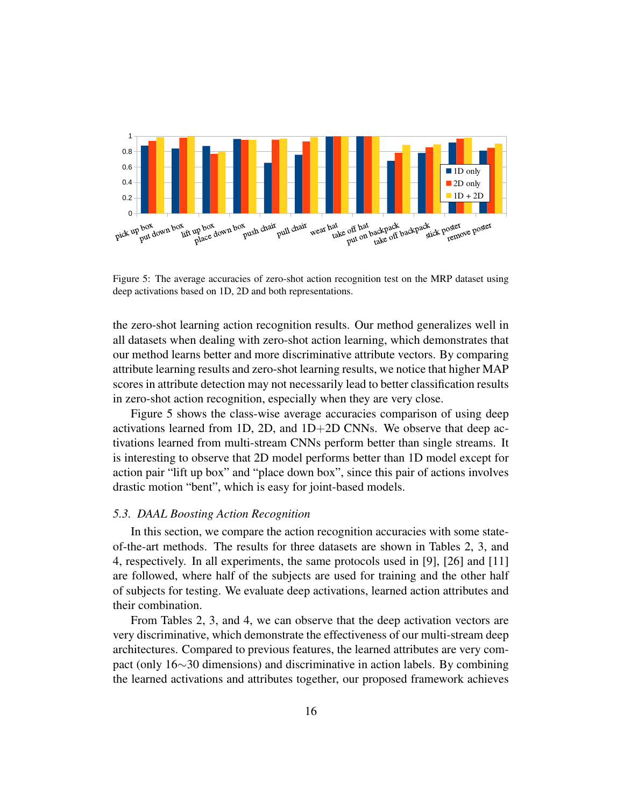

Figure 5: The average accuracies of zero-shot action recognition test on the MRP dataset using deep activations based on 1D, 2D and both representations.

the zero-shot learning action recognition results. Our method generalizes well in all datasets when dealing with zero-shot action learning, which demonstrates that our method learns better and more discriminative attribute vectors. By comparing attribute learning results and zero-shot learning results, we notice that higher MAP scores in attribute detection may not necessarily lead to better classification results in zero-shot action recognition, especially when they are very close.

Figure 5 shows the class-wise average accuracies comparison of using deep activations learned from 1D, 2D, and  $1D+2D$  CNNs. We observe that deep activations learned from multi-stream CNNs perform better than single streams. It is interesting to observe that 2D model performs better than 1D model except for action pair "lift up box" and "place down box", since this pair of actions involves drastic motion "bent", which is easy for joint-based models.

#### *5.3. DAAL Boosting Action Recognition*

In this section, we compare the action recognition accuracies with some stateof-the-art methods. The results for three datasets are shown in Tables 2, 3, and 4, respectively. In all experiments, the same protocols used in [9], [26] and [11] are followed, where half of the subjects are used for training and the other half of subjects for testing. We evaluate deep activations, learned action attributes and their combination.

From Tables 2, 3, and 4, we can observe that the deep activation vectors are very discriminative, which demonstrate the effectiveness of our multi-stream deep architectures. Compared to previous features, the learned attributes are very compact (only 16∼30 dimensions) and discriminative in action labels. By combining the learned activations and attributes together, our proposed framework achieves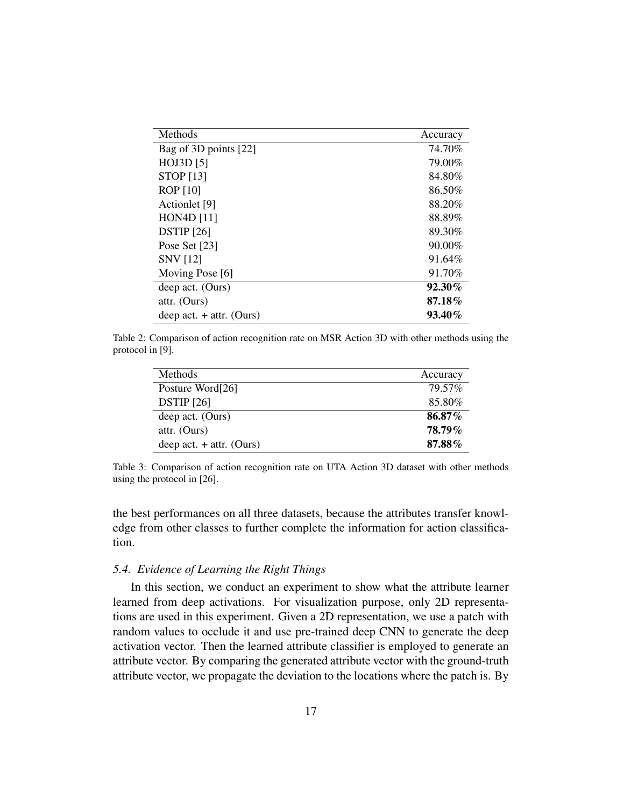| Methods                    | Accuracy  |
|----------------------------|-----------|
| Bag of 3D points [22]      | 74.70%    |
| HOJ3D [5]                  | 79.00%    |
| <b>STOP</b> [13]           | 84.80%    |
| <b>ROP</b> [10]            | 86.50%    |
| Actionlet [9]              | 88.20%    |
| <b>HON4D</b> [11]          | 88.89%    |
| <b>DSTIP</b> [26]          | 89.30%    |
| Pose Set [23]              | $90.00\%$ |
| <b>SNV</b> [12]            | 91.64%    |
| Moving Pose [6]            | 91.70%    |
| deep act. (Ours)           | $92.30\%$ |
| attr. (Ours)               | 87.18%    |
| deep act. $+$ attr. (Ours) | 93.40%    |

Table 2: Comparison of action recognition rate on MSR Action 3D with other methods using the protocol in [9].

| Methods                    | Accuracy      |
|----------------------------|---------------|
| Posture Word[26]           | 79.57%        |
| <b>DSTIP</b> [26]          | 85.80%        |
| deep act. (Ours)           | 86.87%        |
| attr. (Ours)               | <b>78.79%</b> |
| deep act. $+$ attr. (Ours) | 87.88%        |

Table 3: Comparison of action recognition rate on UTA Action 3D dataset with other methods using the protocol in [26].

the best performances on all three datasets, because the attributes transfer knowledge from other classes to further complete the information for action classification.

# *5.4. Evidence of Learning the Right Things*

In this section, we conduct an experiment to show what the attribute learner learned from deep activations. For visualization purpose, only 2D representations are used in this experiment. Given a 2D representation, we use a patch with random values to occlude it and use pre-trained deep CNN to generate the deep activation vector. Then the learned attribute classifier is employed to generate an attribute vector. By comparing the generated attribute vector with the ground-truth attribute vector, we propagate the deviation to the locations where the patch is. By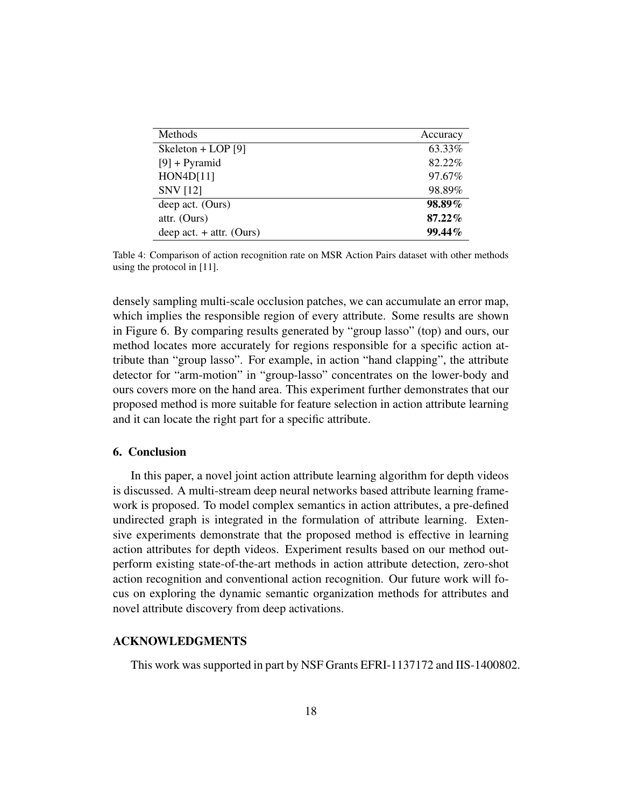| Methods                    | Accuracy |
|----------------------------|----------|
| Skeleton + LOP [9]         | 63.33%   |
| $[9] + \text{Pyramid}$     | 82.22%   |
| HON4D[11]                  | 97.67%   |
| <b>SNV</b> [12]            | 98.89%   |
| deep act. (Ours)           | 98.89%   |
| attr. (Ours)               | 87.22%   |
| deep act. $+$ attr. (Ours) | 99.44%   |

Table 4: Comparison of action recognition rate on MSR Action Pairs dataset with other methods using the protocol in [11].

densely sampling multi-scale occlusion patches, we can accumulate an error map, which implies the responsible region of every attribute. Some results are shown in Figure 6. By comparing results generated by "group lasso" (top) and ours, our method locates more accurately for regions responsible for a specific action attribute than "group lasso". For example, in action "hand clapping", the attribute detector for "arm-motion" in "group-lasso" concentrates on the lower-body and ours covers more on the hand area. This experiment further demonstrates that our proposed method is more suitable for feature selection in action attribute learning and it can locate the right part for a specific attribute.

# 6. Conclusion

In this paper, a novel joint action attribute learning algorithm for depth videos is discussed. A multi-stream deep neural networks based attribute learning framework is proposed. To model complex semantics in action attributes, a pre-defined undirected graph is integrated in the formulation of attribute learning. Extensive experiments demonstrate that the proposed method is effective in learning action attributes for depth videos. Experiment results based on our method outperform existing state-of-the-art methods in action attribute detection, zero-shot action recognition and conventional action recognition. Our future work will focus on exploring the dynamic semantic organization methods for attributes and novel attribute discovery from deep activations.

# ACKNOWLEDGMENTS

This work was supported in part by NSF Grants EFRI-1137172 and IIS-1400802.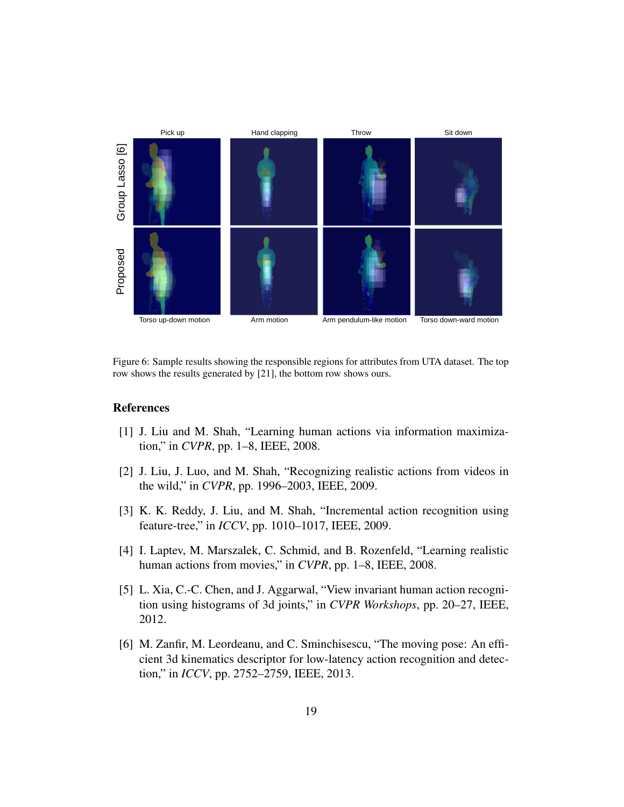

Figure 6: Sample results showing the responsible regions for attributes from UTA dataset. The top row shows the results generated by [21], the bottom row shows ours.

#### References

- [1] J. Liu and M. Shah, "Learning human actions via information maximization," in *CVPR*, pp. 1–8, IEEE, 2008.
- [2] J. Liu, J. Luo, and M. Shah, "Recognizing realistic actions from videos in the wild," in *CVPR*, pp. 1996–2003, IEEE, 2009.
- [3] K. K. Reddy, J. Liu, and M. Shah, "Incremental action recognition using feature-tree," in *ICCV*, pp. 1010–1017, IEEE, 2009.
- [4] I. Laptev, M. Marszalek, C. Schmid, and B. Rozenfeld, "Learning realistic human actions from movies," in *CVPR*, pp. 1–8, IEEE, 2008.
- [5] L. Xia, C.-C. Chen, and J. Aggarwal, "View invariant human action recognition using histograms of 3d joints," in *CVPR Workshops*, pp. 20–27, IEEE, 2012.
- [6] M. Zanfir, M. Leordeanu, and C. Sminchisescu, "The moving pose: An efficient 3d kinematics descriptor for low-latency action recognition and detection," in *ICCV*, pp. 2752–2759, IEEE, 2013.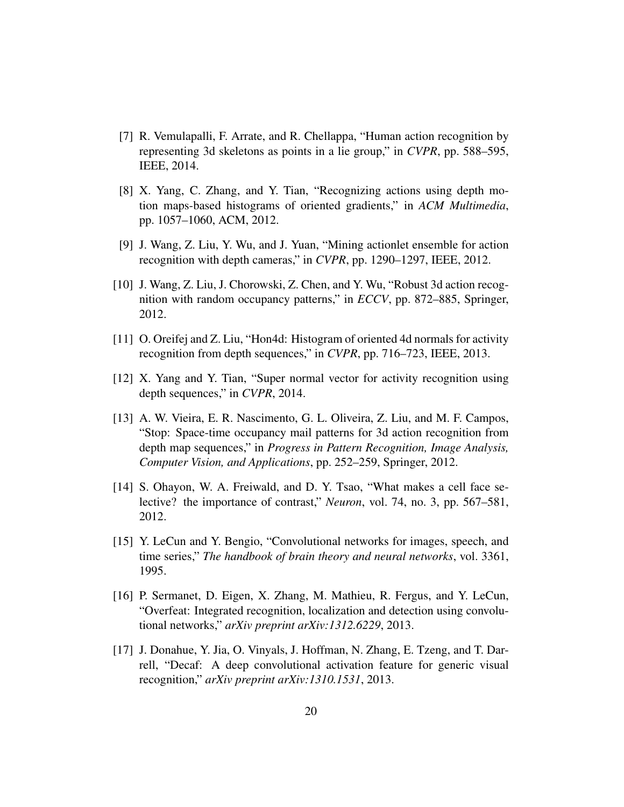- [7] R. Vemulapalli, F. Arrate, and R. Chellappa, "Human action recognition by representing 3d skeletons as points in a lie group," in *CVPR*, pp. 588–595, IEEE, 2014.
- [8] X. Yang, C. Zhang, and Y. Tian, "Recognizing actions using depth motion maps-based histograms of oriented gradients," in *ACM Multimedia*, pp. 1057–1060, ACM, 2012.
- [9] J. Wang, Z. Liu, Y. Wu, and J. Yuan, "Mining actionlet ensemble for action recognition with depth cameras," in *CVPR*, pp. 1290–1297, IEEE, 2012.
- [10] J. Wang, Z. Liu, J. Chorowski, Z. Chen, and Y. Wu, "Robust 3d action recognition with random occupancy patterns," in *ECCV*, pp. 872–885, Springer, 2012.
- [11] O. Oreifej and Z. Liu, "Hon4d: Histogram of oriented 4d normals for activity recognition from depth sequences," in *CVPR*, pp. 716–723, IEEE, 2013.
- [12] X. Yang and Y. Tian, "Super normal vector for activity recognition using depth sequences," in *CVPR*, 2014.
- [13] A. W. Vieira, E. R. Nascimento, G. L. Oliveira, Z. Liu, and M. F. Campos, "Stop: Space-time occupancy mail patterns for 3d action recognition from depth map sequences," in *Progress in Pattern Recognition, Image Analysis, Computer Vision, and Applications*, pp. 252–259, Springer, 2012.
- [14] S. Ohayon, W. A. Freiwald, and D. Y. Tsao, "What makes a cell face selective? the importance of contrast," *Neuron*, vol. 74, no. 3, pp. 567–581, 2012.
- [15] Y. LeCun and Y. Bengio, "Convolutional networks for images, speech, and time series," *The handbook of brain theory and neural networks*, vol. 3361, 1995.
- [16] P. Sermanet, D. Eigen, X. Zhang, M. Mathieu, R. Fergus, and Y. LeCun, "Overfeat: Integrated recognition, localization and detection using convolutional networks," *arXiv preprint arXiv:1312.6229*, 2013.
- [17] J. Donahue, Y. Jia, O. Vinyals, J. Hoffman, N. Zhang, E. Tzeng, and T. Darrell, "Decaf: A deep convolutional activation feature for generic visual recognition," *arXiv preprint arXiv:1310.1531*, 2013.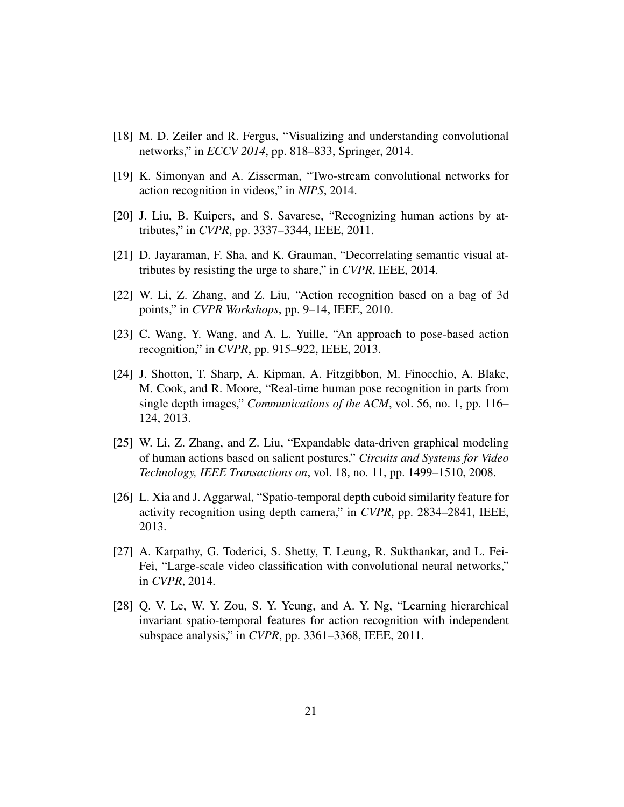- [18] M. D. Zeiler and R. Fergus, "Visualizing and understanding convolutional networks," in *ECCV 2014*, pp. 818–833, Springer, 2014.
- [19] K. Simonyan and A. Zisserman, "Two-stream convolutional networks for action recognition in videos," in *NIPS*, 2014.
- [20] J. Liu, B. Kuipers, and S. Savarese, "Recognizing human actions by attributes," in *CVPR*, pp. 3337–3344, IEEE, 2011.
- [21] D. Jayaraman, F. Sha, and K. Grauman, "Decorrelating semantic visual attributes by resisting the urge to share," in *CVPR*, IEEE, 2014.
- [22] W. Li, Z. Zhang, and Z. Liu, "Action recognition based on a bag of 3d points," in *CVPR Workshops*, pp. 9–14, IEEE, 2010.
- [23] C. Wang, Y. Wang, and A. L. Yuille, "An approach to pose-based action recognition," in *CVPR*, pp. 915–922, IEEE, 2013.
- [24] J. Shotton, T. Sharp, A. Kipman, A. Fitzgibbon, M. Finocchio, A. Blake, M. Cook, and R. Moore, "Real-time human pose recognition in parts from single depth images," *Communications of the ACM*, vol. 56, no. 1, pp. 116– 124, 2013.
- [25] W. Li, Z. Zhang, and Z. Liu, "Expandable data-driven graphical modeling of human actions based on salient postures," *Circuits and Systems for Video Technology, IEEE Transactions on*, vol. 18, no. 11, pp. 1499–1510, 2008.
- [26] L. Xia and J. Aggarwal, "Spatio-temporal depth cuboid similarity feature for activity recognition using depth camera," in *CVPR*, pp. 2834–2841, IEEE, 2013.
- [27] A. Karpathy, G. Toderici, S. Shetty, T. Leung, R. Sukthankar, and L. Fei-Fei, "Large-scale video classification with convolutional neural networks," in *CVPR*, 2014.
- [28] Q. V. Le, W. Y. Zou, S. Y. Yeung, and A. Y. Ng, "Learning hierarchical invariant spatio-temporal features for action recognition with independent subspace analysis," in *CVPR*, pp. 3361–3368, IEEE, 2011.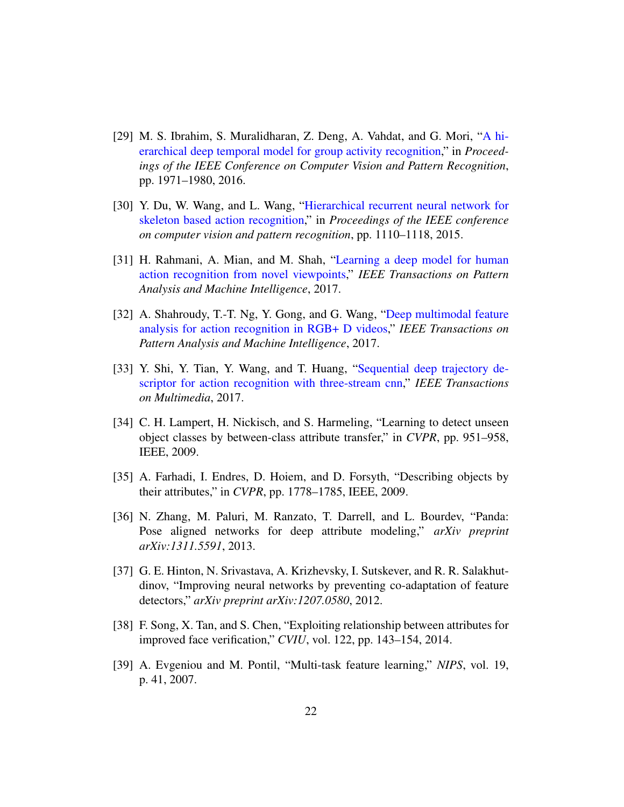- [29] M. S. Ibrahim, S. Muralidharan, Z. Deng, A. Vahdat, and G. Mori, "A hierarchical deep temporal model for group activity recognition," in *Proceedings of the IEEE Conference on Computer Vision and Pattern Recognition*, pp. 1971–1980, 2016.
- [30] Y. Du, W. Wang, and L. Wang, "Hierarchical recurrent neural network for skeleton based action recognition," in *Proceedings of the IEEE conference on computer vision and pattern recognition*, pp. 1110–1118, 2015.
- [31] H. Rahmani, A. Mian, and M. Shah, "Learning a deep model for human action recognition from novel viewpoints," *IEEE Transactions on Pattern Analysis and Machine Intelligence*, 2017.
- [32] A. Shahroudy, T.-T. Ng, Y. Gong, and G. Wang, "Deep multimodal feature analysis for action recognition in RGB+ D videos," *IEEE Transactions on Pattern Analysis and Machine Intelligence*, 2017.
- [33] Y. Shi, Y. Tian, Y. Wang, and T. Huang, "Sequential deep trajectory descriptor for action recognition with three-stream cnn," *IEEE Transactions on Multimedia*, 2017.
- [34] C. H. Lampert, H. Nickisch, and S. Harmeling, "Learning to detect unseen object classes by between-class attribute transfer," in *CVPR*, pp. 951–958, IEEE, 2009.
- [35] A. Farhadi, I. Endres, D. Hoiem, and D. Forsyth, "Describing objects by their attributes," in *CVPR*, pp. 1778–1785, IEEE, 2009.
- [36] N. Zhang, M. Paluri, M. Ranzato, T. Darrell, and L. Bourdev, "Panda: Pose aligned networks for deep attribute modeling," *arXiv preprint arXiv:1311.5591*, 2013.
- [37] G. E. Hinton, N. Srivastava, A. Krizhevsky, I. Sutskever, and R. R. Salakhutdinov, "Improving neural networks by preventing co-adaptation of feature detectors," *arXiv preprint arXiv:1207.0580*, 2012.
- [38] F. Song, X. Tan, and S. Chen, "Exploiting relationship between attributes for improved face verification," *CVIU*, vol. 122, pp. 143–154, 2014.
- [39] A. Evgeniou and M. Pontil, "Multi-task feature learning," *NIPS*, vol. 19, p. 41, 2007.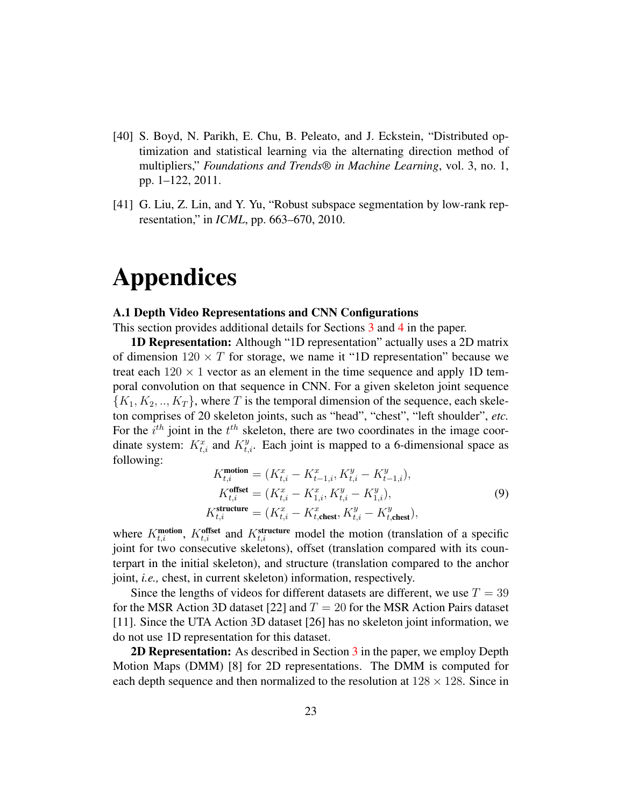- [40] S. Boyd, N. Parikh, E. Chu, B. Peleato, and J. Eckstein, "Distributed optimization and statistical learning via the alternating direction method of multipliers," *Foundations and Trends® in Machine Learning*, vol. 3, no. 1, pp. 1–122, 2011.
- [41] G. Liu, Z. Lin, and Y. Yu, "Robust subspace segmentation by low-rank representation," in *ICML*, pp. 663–670, 2010.

# Appendices

#### A.1 Depth Video Representations and CNN Configurations

This section provides additional details for Sections 3 and 4 in the paper.

1D Representation: Although "1D representation" actually uses a 2D matrix of dimension  $120 \times T$  for storage, we name it "1D representation" because we treat each  $120 \times 1$  vector as an element in the time sequence and apply 1D temporal convolution on that sequence in CNN. For a given skeleton joint sequence  ${K_1, K_2, ..., K_T}$ , where T is the temporal dimension of the sequence, each skeleton comprises of 20 skeleton joints, such as "head", "chest", "left shoulder", *etc.* For the  $i^{th}$  joint in the  $t^{th}$  skeleton, there are two coordinates in the image coordinate system:  $K_{t,i}^x$  and  $K_{t,i}^y$ . Each joint is mapped to a 6-dimensional space as following:

$$
K_{t,i}^{\text{motion}} = (K_{t,i}^x - K_{t-1,i}^x, K_{t,i}^y - K_{t-1,i}^y),
$$
  
\n
$$
K_{t,i}^{\text{offset}} = (K_{t,i}^x - K_{1,i}^x, K_{t,i}^y - K_{1,i}^y),
$$
  
\n
$$
K_{t,i}^{\text{structure}} = (K_{t,i}^x - K_{t,\text{check}}^x, K_{t,i}^y - K_{t,\text{check}}^y),
$$
  
\n(9)

where  $K_{t,i}^{\text{motion}}$ ,  $K_{t,i}^{\text{offset}}$  and  $K_{t,i}^{\text{structure}}$  model the motion (translation of a specific joint for two consecutive skeletons), offset (translation compared with its counterpart in the initial skeleton), and structure (translation compared to the anchor joint, *i.e.,* chest, in current skeleton) information, respectively.

Since the lengths of videos for different datasets are different, we use  $T = 39$ for the MSR Action 3D dataset [22] and  $T = 20$  for the MSR Action Pairs dataset [11]. Since the UTA Action 3D dataset [26] has no skeleton joint information, we do not use 1D representation for this dataset.

**2D Representation:** As described in Section 3 in the paper, we employ Depth Motion Maps (DMM) [8] for 2D representations. The DMM is computed for each depth sequence and then normalized to the resolution at  $128 \times 128$ . Since in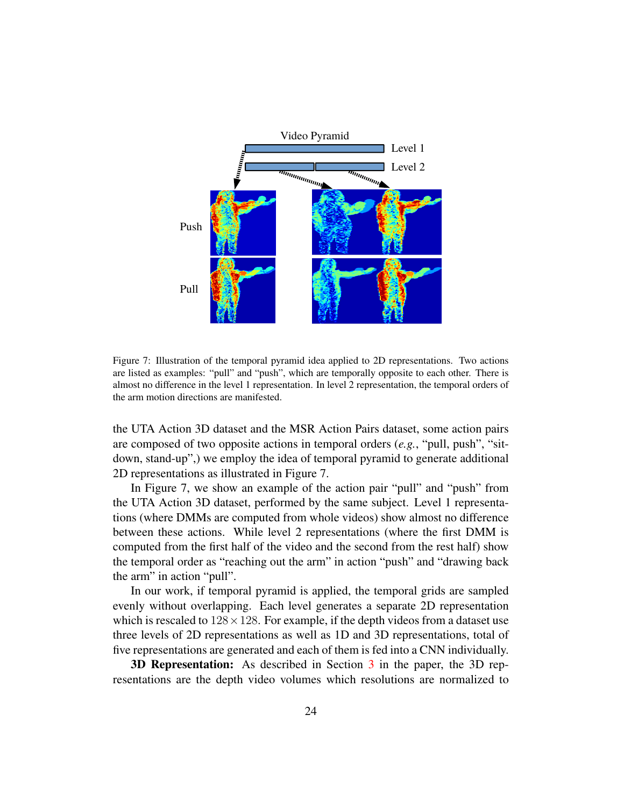

Figure 7: Illustration of the temporal pyramid idea applied to 2D representations. Two actions are listed as examples: "pull" and "push", which are temporally opposite to each other. There is almost no difference in the level 1 representation. In level 2 representation, the temporal orders of the arm motion directions are manifested.

the UTA Action 3D dataset and the MSR Action Pairs dataset, some action pairs are composed of two opposite actions in temporal orders (*e.g.*, "pull, push", "sitdown, stand-up",) we employ the idea of temporal pyramid to generate additional 2D representations as illustrated in Figure 7.

In Figure 7, we show an example of the action pair "pull" and "push" from the UTA Action 3D dataset, performed by the same subject. Level 1 representations (where DMMs are computed from whole videos) show almost no difference between these actions. While level 2 representations (where the first DMM is computed from the first half of the video and the second from the rest half) show the temporal order as "reaching out the arm" in action "push" and "drawing back the arm" in action "pull".

In our work, if temporal pyramid is applied, the temporal grids are sampled evenly without overlapping. Each level generates a separate 2D representation which is rescaled to  $128 \times 128$ . For example, if the depth videos from a dataset use three levels of 2D representations as well as 1D and 3D representations, total of five representations are generated and each of them is fed into a CNN individually.

**3D Representation:** As described in Section 3 in the paper, the 3D representations are the depth video volumes which resolutions are normalized to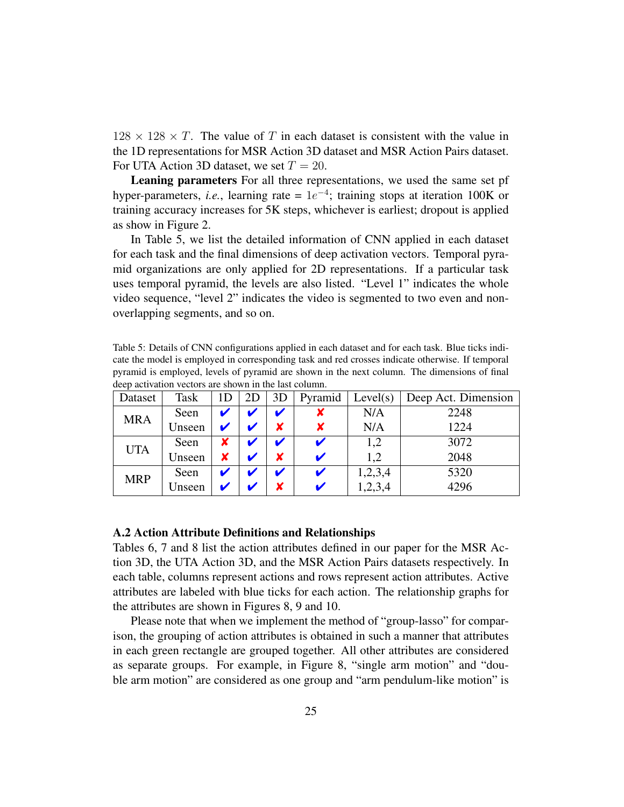$128 \times 128 \times T$ . The value of T in each dataset is consistent with the value in the 1D representations for MSR Action 3D dataset and MSR Action Pairs dataset. For UTA Action 3D dataset, we set  $T = 20$ .

Leaning parameters For all three representations, we used the same set pf hyper-parameters, *i.e.*, learning rate =  $1e^{-4}$ ; training stops at iteration 100K or training accuracy increases for 5K steps, whichever is earliest; dropout is applied as show in Figure 2.

In Table 5, we list the detailed information of CNN applied in each dataset for each task and the final dimensions of deep activation vectors. Temporal pyramid organizations are only applied for 2D representations. If a particular task uses temporal pyramid, the levels are also listed. "Level 1" indicates the whole video sequence, "level 2" indicates the video is segmented to two even and nonoverlapping segments, and so on.

Table 5: Details of CNN configurations applied in each dataset and for each task. Blue ticks indicate the model is employed in corresponding task and red crosses indicate otherwise. If temporal pyramid is employed, levels of pyramid are shown in the next column. The dimensions of final deep activation vectors are shown in the last column.

| Dataset    | Task   | 1 <sub>D</sub> | 2D | 3D |   | Pyramid   Level(s) | Deep Act. Dimension |
|------------|--------|----------------|----|----|---|--------------------|---------------------|
| <b>MRA</b> | Seen   |                |    |    |   | N/A                | 2248                |
|            | Unseen |                |    |    | x | N/A                | 1224                |
| <b>UTA</b> | Seen   |                |    |    |   | 1,2                | 3072                |
|            | Unseen | X              |    |    |   | 1,2                | 2048                |
| <b>MRP</b> | Seen   |                |    |    |   | 1,2,3,4            | 5320                |
|            | Unseen |                |    |    |   | 1,2,3,4            | 4296                |

# A.2 Action Attribute Definitions and Relationships

Tables 6, 7 and 8 list the action attributes defined in our paper for the MSR Action 3D, the UTA Action 3D, and the MSR Action Pairs datasets respectively. In each table, columns represent actions and rows represent action attributes. Active attributes are labeled with blue ticks for each action. The relationship graphs for the attributes are shown in Figures 8, 9 and 10.

Please note that when we implement the method of "group-lasso" for comparison, the grouping of action attributes is obtained in such a manner that attributes in each green rectangle are grouped together. All other attributes are considered as separate groups. For example, in Figure 8, "single arm motion" and "double arm motion" are considered as one group and "arm pendulum-like motion" is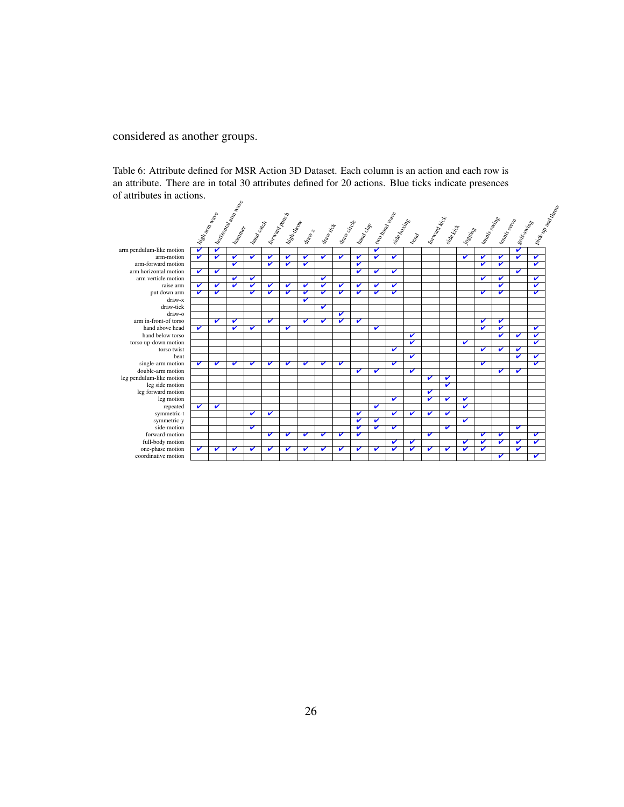# considered as another groups.

Table 6: Attribute defined for MSR Action 3D Dataset. Each column is an action and each row is an attribute. There are in total 30 attributes defined for 20 actions. Blue ticks indicate presences of attributes in actions.

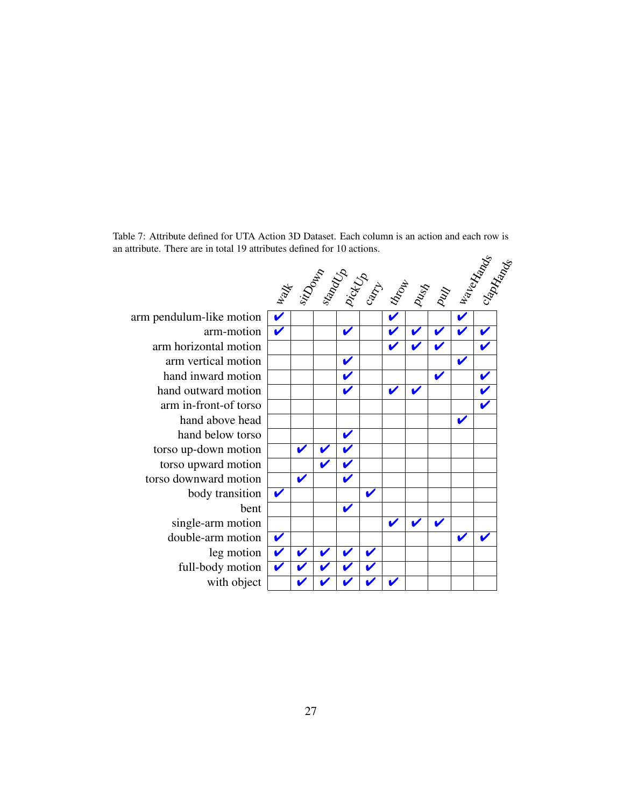Table 7: Attribute defined for UTA Action 3D Dataset. Each column is an action and each row is an attribute. There are in total 19 attributes defined for 10 actions.

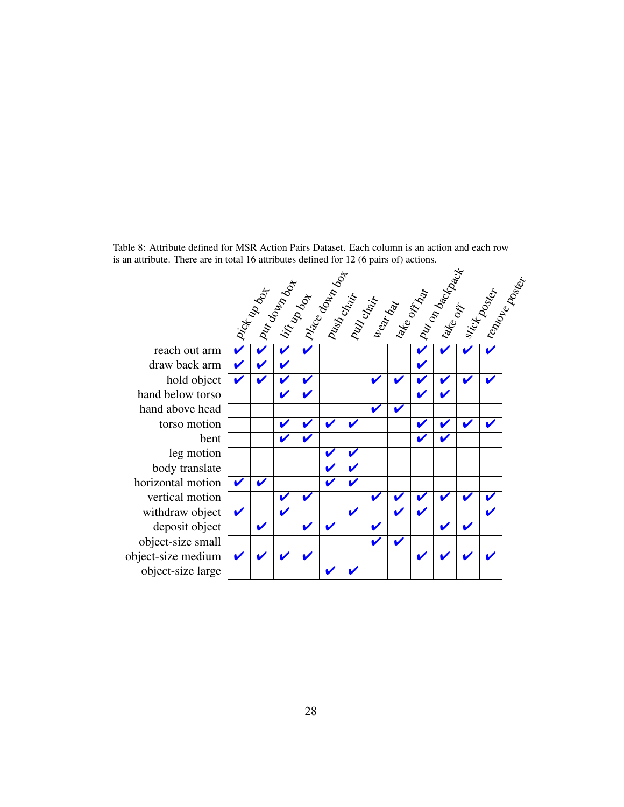Table 8: Attribute defined for MSR Action Pairs Dataset. Each column is an action and each row is an attribute. There are in total 16 attributes defined for 12 (6 pairs of) actions.

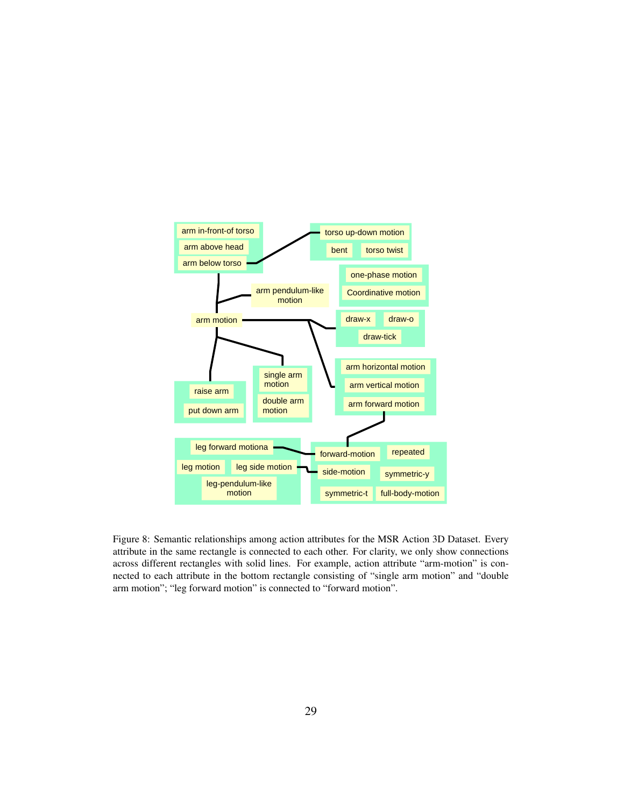

Figure 8: Semantic relationships among action attributes for the MSR Action 3D Dataset. Every attribute in the same rectangle is connected to each other. For clarity, we only show connections across different rectangles with solid lines. For example, action attribute "arm-motion" is connected to each attribute in the bottom rectangle consisting of "single arm motion" and "double arm motion"; "leg forward motion" is connected to "forward motion".